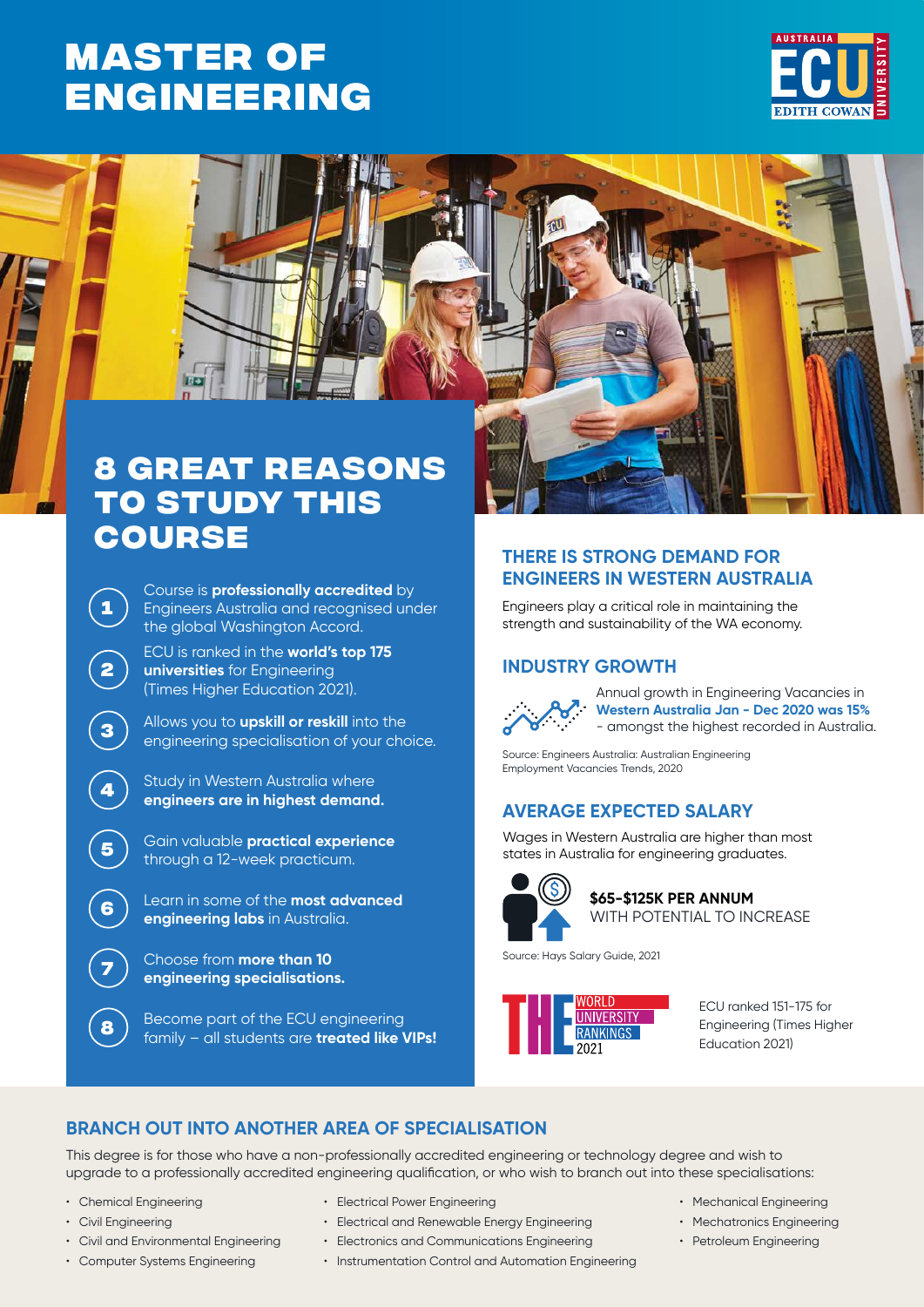## **Master of [ENGINEERING](https://www.ecu.edu.au/degrees/courses/master-of-engineering)**





# **to study this course**

Course is **professionally accredited** by Engineers Australia and recognised under the global Washington Accord.

ECU is ranked in the **world's top 175 universities** for Engineering (Times Higher Education 2021).

**<sup>3</sup>** Allows you to **upskill or reskill** into the engineering specialisation of your choice.

**<sup>4</sup>** Study in Western Australia where **engineers are in highest demand.**

**<sup>5</sup>** Gain valuable **practical experience**  through a 12-week practicum.

**<sup>6</sup>** Learn in some of the **most advanced engineering labs** in Australia.

**<sup>7</sup>** Choose from **more than 10 engineering specialisations.**

**8** Become part of the ECU engineering family – all students are **treated like VIPs!**

## **THERE IS STRONG DEMAND FOR ENGINEERS IN WESTERN AUSTRALIA**

Engineers play a critical role in maintaining the strength and sustainability of the WA economy.

## **INDUSTRY GROWTH**



Annual growth in Engineering Vacancies in **Western Australia Jan - Dec 2020 was 15%** - amongst the highest recorded in Australia.

Source: Engineers Australia: Australian Engineering Employment Vacancies Trends, 2020

## **AVERAGE EXPECTED SALARY**

Wages in Western Australia are higher than most states in Australia for engineering graduates.



**\$65-\$125K PER ANNUM** WITH POTENTIAL TO INCREASE

Source: Hays Salary Guide, 2021



ECU ranked 151-175 for Engineering (Times Higher Education 2021)

## **BRANCH OUT INTO ANOTHER AREA OF SPECIALISATION**

This degree is for those who have a non-professionally accredited engineering or technology degree and wish to upgrade to a professionally accredited engineering qualification, or who wish to branch out into these specialisations:

- Chemical Engineering
- Civil Engineering

**1**

**2**

- Civil and Environmental Engineering
- Computer Systems Engineering
- Electrical Power Engineering
- Electrical and Renewable Energy Engineering
- Electronics and Communications Engineering
- Instrumentation Control and Automation Engineering
- Mechanical Engineering
- Mechatronics Engineering
- Petroleum Engineering